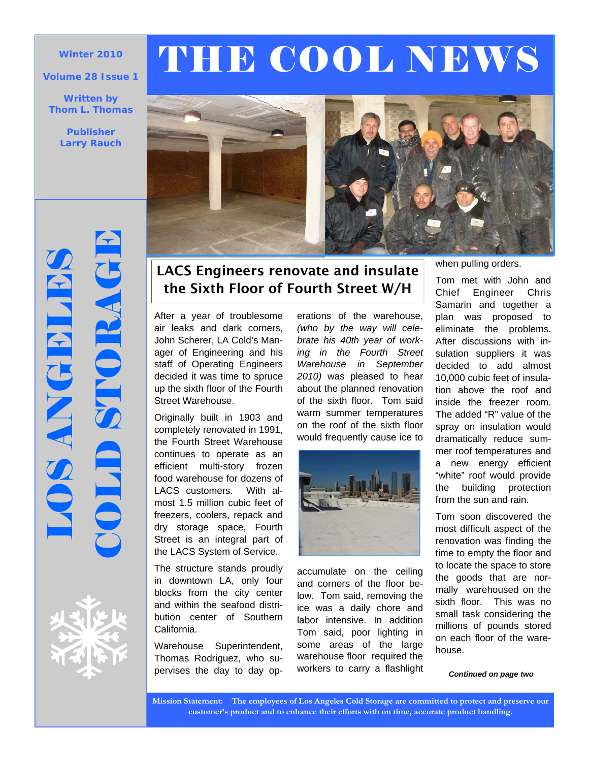### **Volume 28 Issue 1**

**Written by Thom L. Thomas** 

> **Publisher Larry Rauch**

# **OS ANGELES**<br>DIJD STORAGE



# Winter 2010 **THE COOL NEWS**



## LACS Engineers renovate and insulate the Sixth Floor of Fourth Street W/H

After a year of troublesome air leaks and dark corners, John Scherer, LA Cold's Manager of Engineering and his staff of Operating Engineers decided it was time to spruce up the sixth floor of the Fourth Street Warehouse.

Originally built in 1903 and completely renovated in 1991, the Fourth Street Warehouse continues to operate as an efficient multi-story frozen food warehouse for dozens of LACS customers. With almost 1.5 million cubic feet of freezers, coolers, repack and dry storage space, Fourth Street is an integral part of the LACS System of Service.

The structure stands proudly in downtown LA, only four blocks from the city center and within the seafood distribution center of Southern California.

Warehouse Superintendent, Thomas Rodriguez, who supervises the day to day operations of the warehouse, *(who by the way will celebrate his 40th year of working in the Fourth Street Warehouse in September 2010)* was pleased to hear about the planned renovation of the sixth floor. Tom said warm summer temperatures on the roof of the sixth floor would frequently cause ice to



accumulate on the ceiling and corners of the floor below. Tom said, removing the ice was a daily chore and labor intensive. In addition Tom said, poor lighting in some areas of the large warehouse floor required the workers to carry a flashlight when pulling orders.

Tom met with John and Chief Engineer Chris Samarin and together a plan was proposed to eliminate the problems. After discussions with insulation suppliers it was decided to add almost 10,000 cubic feet of insulation above the roof and inside the freezer room. The added "R" value of the spray on insulation would dramatically reduce summer roof temperatures and a new energy efficient "white" roof would provide the building protection from the sun and rain.

Tom soon discovered the most difficult aspect of the renovation was finding the time to empty the floor and to locate the space to store the goods that are normally warehoused on the sixth floor. This was no small task considering the millions of pounds stored on each floor of the warehouse.

*Continued on page two* 

**Mission Statement: The employees of Los Angeles Cold Storage are committed to protect and preserve our customer's product and to enhance their efforts with on time, accurate product handling.**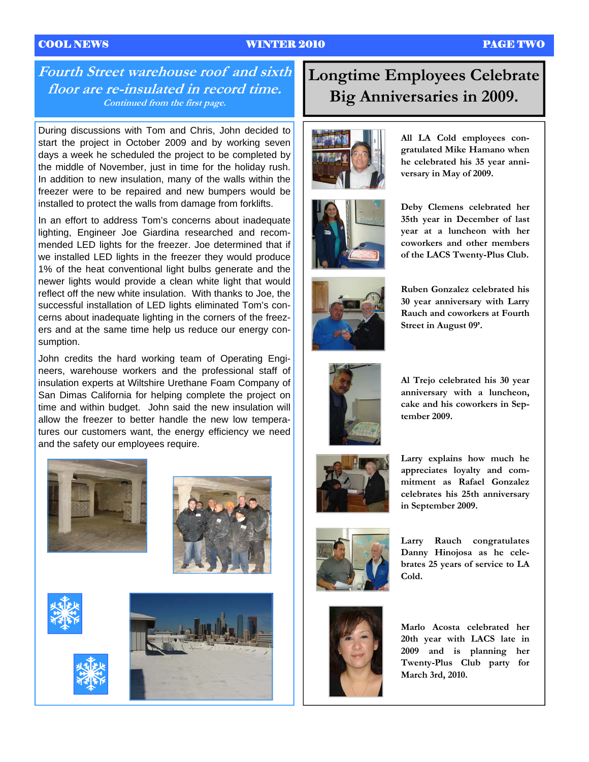### COOL NEWS WINTER 2010 PAGE TWO

### **Fourth Street warehouse roof and sixth floor are re-insulated in record time. Continued from the first page.**

During discussions with Tom and Chris, John decided to start the project in October 2009 and by working seven days a week he scheduled the project to be completed by the middle of November, just in time for the holiday rush. In addition to new insulation, many of the walls within the freezer were to be repaired and new bumpers would be installed to protect the walls from damage from forklifts.

In an effort to address Tom's concerns about inadequate lighting, Engineer Joe Giardina researched and recommended LED lights for the freezer. Joe determined that if we installed LED lights in the freezer they would produce 1% of the heat conventional light bulbs generate and the newer lights would provide a clean white light that would reflect off the new white insulation. With thanks to Joe, the successful installation of LED lights eliminated Tom's concerns about inadequate lighting in the corners of the freezers and at the same time help us reduce our energy consumption.

John credits the hard working team of Operating Engineers, warehouse workers and the professional staff of insulation experts at Wiltshire Urethane Foam Company of San Dimas California for helping complete the project on time and within budget. John said the new insulation will allow the freezer to better handle the new low temperatures our customers want, the energy efficiency we need and the safety our employees require.











# **Longtime Employees Celebrate Big Anniversaries in 2009.**



**All LA Cold employees congratulated Mike Hamano when he celebrated his 35 year anniversary in May of 2009.** 



**Deby Clemens celebrated her 35th year in December of last year at a luncheon with her coworkers and other members of the LACS Twenty-Plus Club.** 



**Ruben Gonzalez celebrated his 30 year anniversary with Larry Rauch and coworkers at Fourth Street in August 09'.** 



**Al Trejo celebrated his 30 year anniversary with a luncheon, cake and his coworkers in September 2009.** 



**Larry explains how much he appreciates loyalty and commitment as Rafael Gonzalez celebrates his 25th anniversary in September 2009.** 



**Larry Rauch congratulates Danny Hinojosa as he celebrates 25 years of service to LA Cold.** 



**Marlo Acosta celebrated her 20th year with LACS late in 2009 and is planning her Twenty-Plus Club party for March 3rd, 2010.**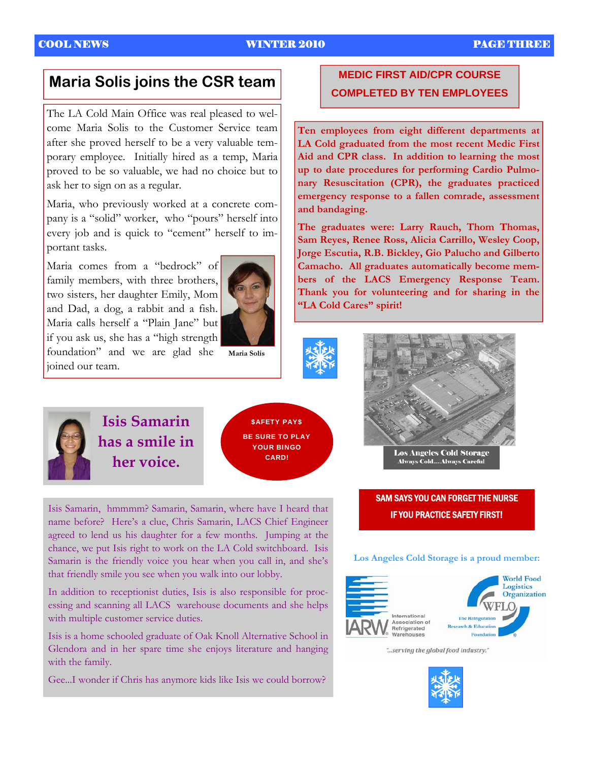The LA Cold Main Office was real pleased to welcome Maria Solis to the Customer Service team after she proved herself to be a very valuable temporary employee. Initially hired as a temp, Maria proved to be so valuable, we had no choice but to ask her to sign on as a regular.

Maria, who previously worked at a concrete company is a "solid" worker, who "pours" herself into every job and is quick to "cement" herself to important tasks.

Maria comes from a "bedrock" of family members, with three brothers, two sisters, her daughter Emily, Mom and Dad, a dog, a rabbit and a fish. Maria calls herself a "Plain Jane" but if you ask us, she has a "high strength foundation" and we are glad she joined our team.

**Maria Solis** 



**Isis Samarin has a smile in her voice.** 



Isis Samarin, hmmmm? Samarin, Samarin, where have I heard that name before? Here's a clue, Chris Samarin, LACS Chief Engineer agreed to lend us his daughter for a few months. Jumping at the chance, we put Isis right to work on the LA Cold switchboard. Isis Samarin is the friendly voice you hear when you call in, and she's that friendly smile you see when you walk into our lobby.

In addition to receptionist duties, Isis is also responsible for processing and scanning all LACS warehouse documents and she helps with multiple customer service duties.

Isis is a home schooled graduate of Oak Knoll Alternative School in Glendora and in her spare time she enjoys literature and hanging with the family.

Gee...I wonder if Chris has anymore kids like Isis we could borrow?

### **MEDIC FIRST AID/CPR COURSE Maria Solis joins the CSR team COMPLETED BY TEN EMPLOYEES**

**Ten employees from eight different departments at LA Cold graduated from the most recent Medic First Aid and CPR class. In addition to learning the most up to date procedures for performing Cardio Pulmonary Resuscitation (CPR), the graduates practiced emergency response to a fallen comrade, assessment and bandaging.** 

**The graduates were: Larry Rauch, Thom Thomas, Sam Reyes, Renee Ross, Alicia Carrillo, Wesley Coop, Jorge Escutia, R.B. Bickley, Gio Palucho and Gilberto Camacho. All graduates automatically become members of the LACS Emergency Response Team. Thank you for volunteering and for sharing in the "LA Cold Cares" spirit!** 



**Always Cold....Always Careful** 

SAM SAYS YOU CAN FORGET THE NURSE IF YOU PRACTICE SAFETY FIRST!

### **Los Angeles Cold Storage is a proud member:**